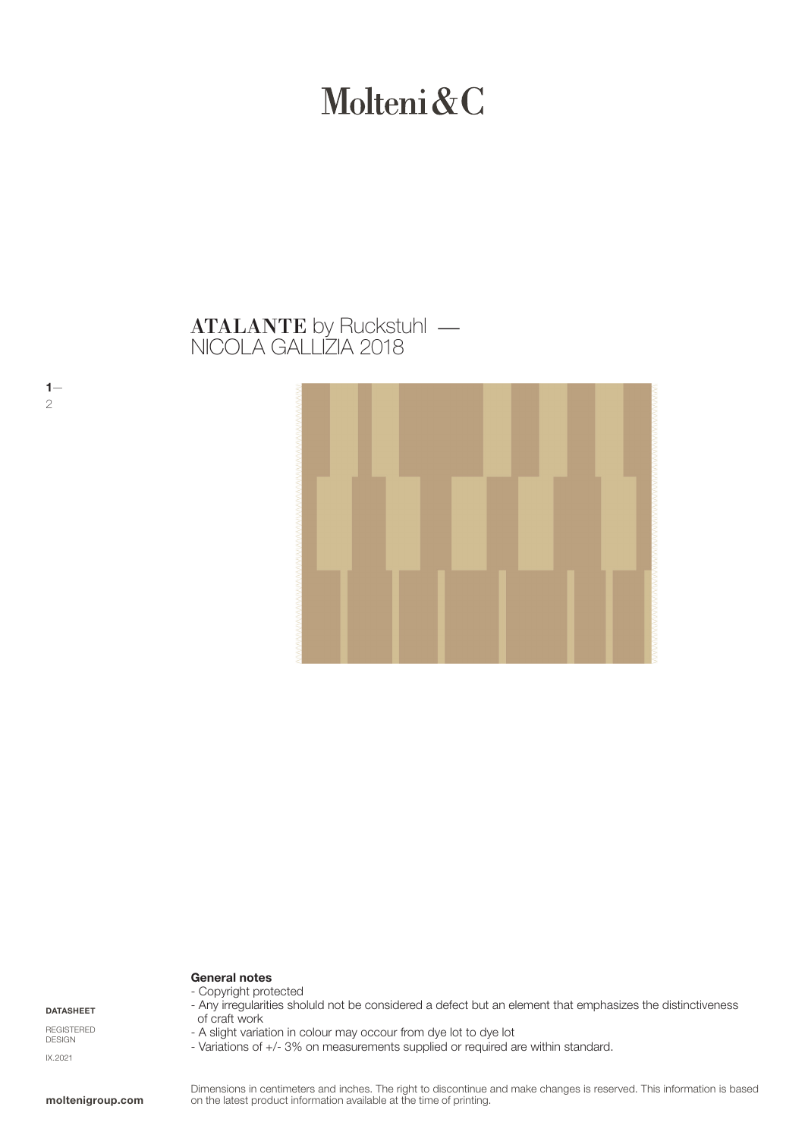# Molteni&C

## NICOLA GALLIZIA 2018 **ATALANTE** by Ruckstuhl —



## General notes - Copyright protected

DATASHEET

 $1-$ 

2

REGISTERED DESIGN IX.2021

#### - Any irregularities sholuld not be considered a defect but an element that emphasizes the distinctiveness of craft work

- A slight variation in colour may occour from dye lot to dye lot
- Variations of +/- 3% on measurements supplied or required are within standard.

Dimensions in centimeters and inches. The right to discontinue and make changes is reserved. This information is based on the latest product information available at the time of printing.